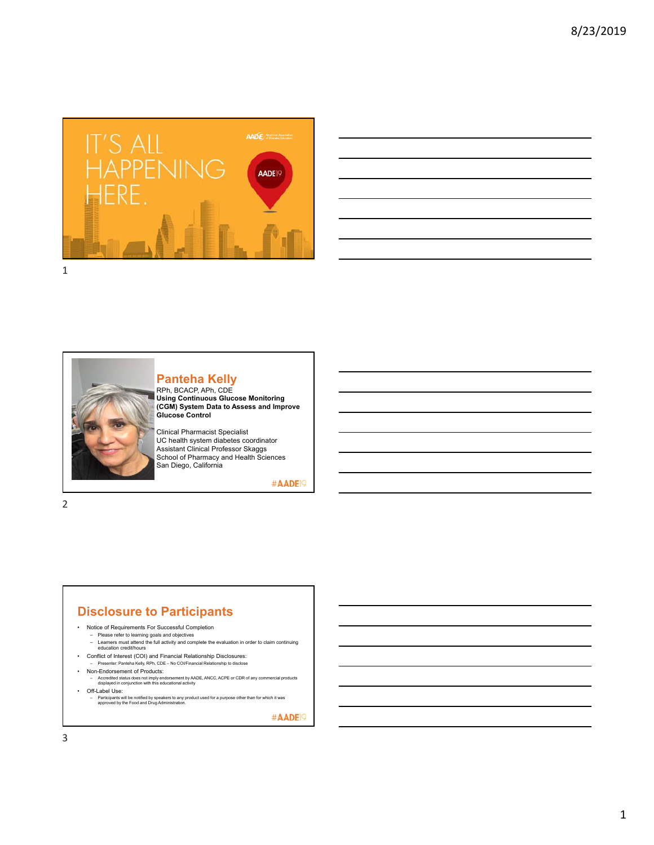

| <u> 1989 - Johann Stoff, amerikansk politiker (* 1908)</u>                                                                                                                                                                           |  |  |      |  |
|--------------------------------------------------------------------------------------------------------------------------------------------------------------------------------------------------------------------------------------|--|--|------|--|
|                                                                                                                                                                                                                                      |  |  |      |  |
|                                                                                                                                                                                                                                      |  |  | ____ |  |
|                                                                                                                                                                                                                                      |  |  |      |  |
|                                                                                                                                                                                                                                      |  |  |      |  |
| <u>. In the contract of the contract of the contract of the contract of the contract of the contract of the contract of the contract of the contract of the contract of the contract of the contract of the contract of the cont</u> |  |  |      |  |
|                                                                                                                                                                                                                                      |  |  |      |  |
|                                                                                                                                                                                                                                      |  |  |      |  |



#### **Panteha Kelly**

RPh, BCACP, APh, CDE<br>Using Continuous Glucose Monitoring<br>(CGM) System Data to Assess and Improve<br>Glucose Control

Clinical Pharmacist Specialist UC health system diabetes coordinator Assistant Clinical Professor Skaggs School of Pharmacy and Health Sciences San Diego, California

#AADE<sup>19</sup>

2

# **Disclosure to Participants**

- Notice of Requirements For Successful Completion
	-
	- Please refer to learning goals and objectives Learners must attend the full activity and complete the evaluation in order to claim continuing education credit/hours
- Conflict of Interest (COI) and Financial Relationship Disclosures: – Presenter: Panteha Kelly, RPh, CDE – No COI/Financial Relationship to disclose
	- Non-Endorsement of Products:
	-
- Accredited status does not imply endorsement by AADE, ANCC, ACPE or CDR of any commercial products displayed in conjunction with this educational activity • Off-Label Use:
- Participants will be notified by speakers to any product used for a purpose other than for which it was approved by the Food and Drug Administration.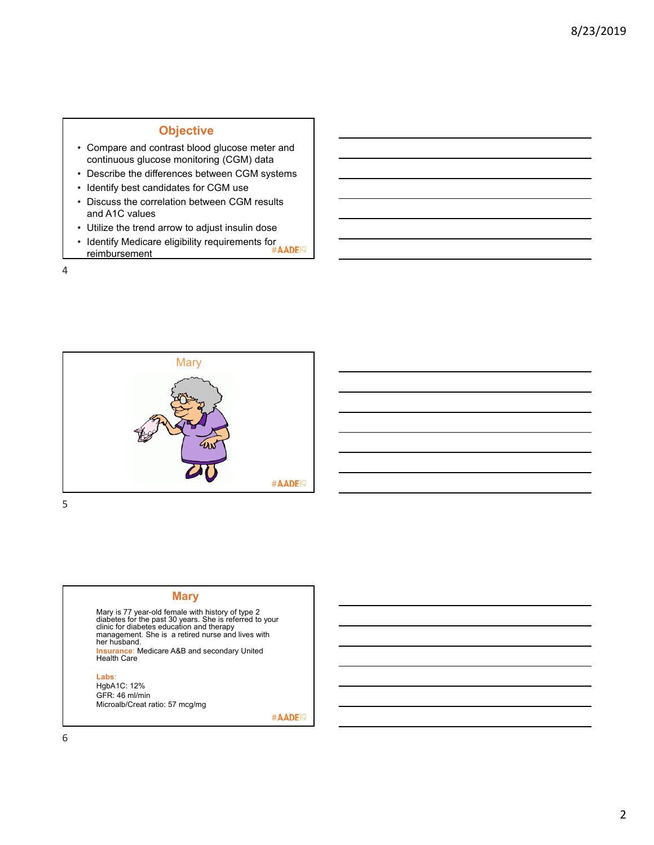### **Objective**

- Compare and contrast blood glucose meter and continuous glucose monitoring (CGM) data
- Describe the differences between CGM systems
- Identify best candidates for CGM use
- Discuss the correlation between CGM results and A1C values
- Utilize the trend arrow to adjust insulin dose
- Identify Medicare eligibility requirements for<br>• Identify Medicare eligibility requirements for #AADEI9 reimbursement

4



5

#### **Mary**

Mary is 77 year-old female with history of type 2 diabetes for the past 30 years. She is referred to your clinic for diabetes education and therapy management. She is a retired nurse and lives with her husband. **Insurance**: Medicare A&B and secondary United Health Care

#### **Labs**:

HgbA1C: 12% GFR: 46 ml/min Microalb/Creat ratio: 57 mcg/mg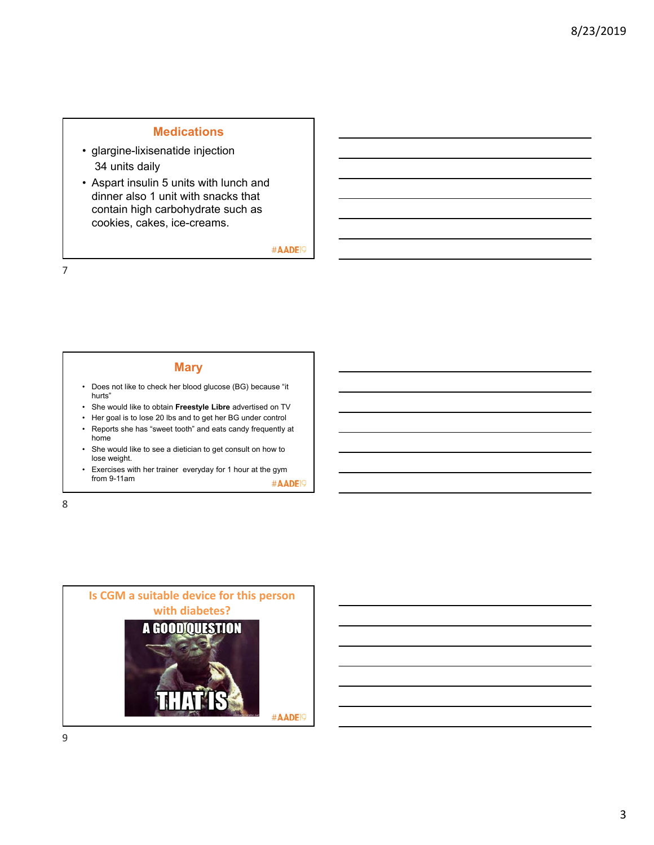### **Medications**

- glargine-lixisenatide injection 34 units daily
- Aspart insulin 5 units with lunch and dinner also 1 unit with snacks that contain high carbohydrate such as cookies, cakes, ice-creams.

#AADE<sup>19</sup>

7

#### **Mary**

- Does not like to check her blood glucose (BG) because "it hurts"
- She would like to obtain **Freestyle Libre** advertised on TV
- Her goal is to lose 20 lbs and to get her BG under control
- Reports she has "sweet tooth" and eats candy frequently at home
- She would like to see a dietician to get consult on how to lose weight.
- Exercises with her trainer everyday for 1 hour at the gym from 9-11am #AADE<sup>19</sup>

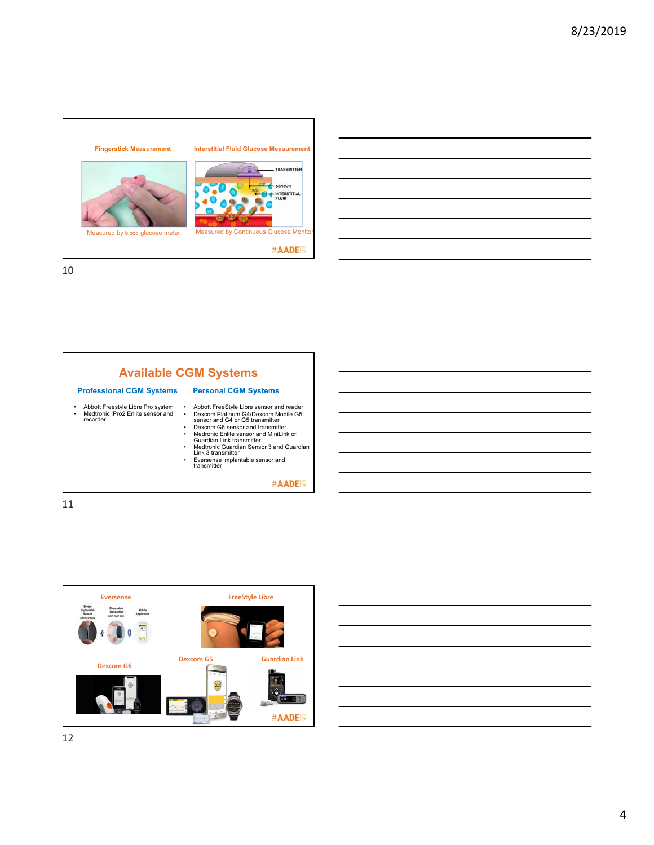





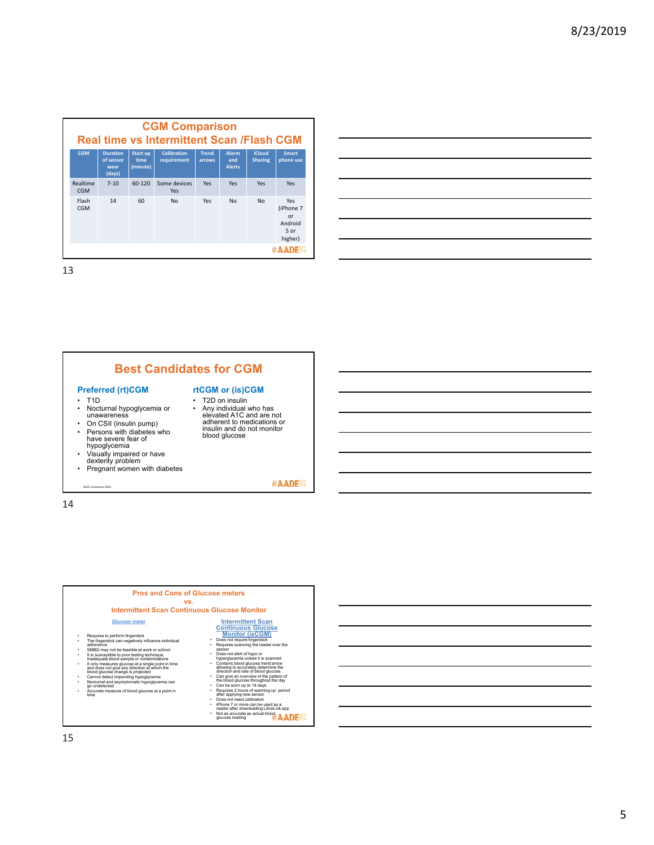| <b>CGM Comparison</b><br><b>Real time vs Intermittent Scan /Flash CGM</b> |                                                |                              |                                   |                        |                                      |                                 |                                                      |
|---------------------------------------------------------------------------|------------------------------------------------|------------------------------|-----------------------------------|------------------------|--------------------------------------|---------------------------------|------------------------------------------------------|
| <b>CGM</b>                                                                | <b>Duration</b><br>of sensor<br>wear<br>(days) | Start up<br>time<br>(minute) | <b>Calibration</b><br>requirement | <b>Trend</b><br>arrows | <b>Alarm</b><br>and<br><b>Alerts</b> | <b>iCloud</b><br><b>Sharing</b> | <b>Smart</b><br>phone use                            |
| Realtime<br>C <sub>G</sub> M                                              | $7 - 10$                                       | 60-120                       | Some devices<br><b>Yes</b>        | Yes                    | Yes                                  | Yes                             | Yes                                                  |
| Flash<br><b>CGM</b>                                                       | 14                                             | 60                           | N <sub>0</sub>                    | Yes                    | No                                   | No                              | Yes<br>(iPhone 7<br>or<br>Android<br>5 or<br>higher) |
|                                                                           |                                                |                              |                                   |                        |                                      |                                 |                                                      |



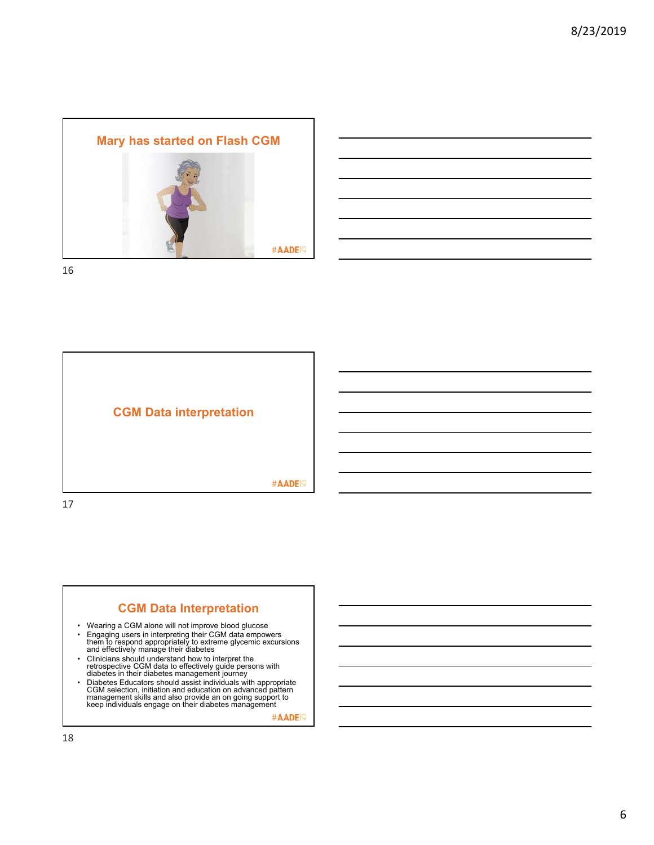







- Wearing a CGM alone will not improve blood glucose
- Engaging users in interpreting their CGM data empowers them to respond appropriately to extreme glycemic excursions and effectively manage their diabetes
- Clinicians should understand how to interpret the retrospective CGM data to effectively guide persons with diabetes in their diabetes management journey
- Diabetes Educators should assist individuals with appropriate CGM selection, initiation and education on advanced pattern<br>management skills and also provide an on going support to<br>keep individuals engage on their diabetes management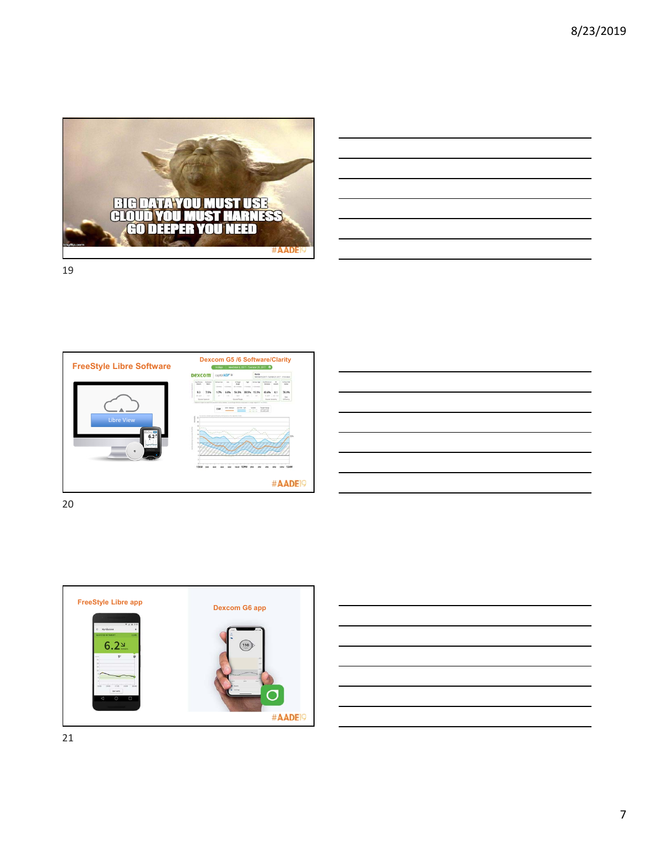

| <u> 1989 - Andrea Stadt Britain, amerikansk politiker (d. 1989)</u>                                                   |  |  |
|-----------------------------------------------------------------------------------------------------------------------|--|--|
| <u> 1989 - Johann Stoff, deutscher Stoff, der Stoff, der Stoff, der Stoff, der Stoff, der Stoff, der Stoff, der S</u> |  |  |
| <u> 1989 - Johann Barbara, martin da basar da basar da basar da basar da basar da basar da basar da basar da basa</u> |  |  |
|                                                                                                                       |  |  |
| <u> 1989 - Johann Barn, amerikansk politiker (</u>                                                                    |  |  |
| <u> 1989 - Johann John Stone, mensk politik en oantal fan de oarste fan de oarste fan de oarste fan de oarste fan</u> |  |  |
|                                                                                                                       |  |  |







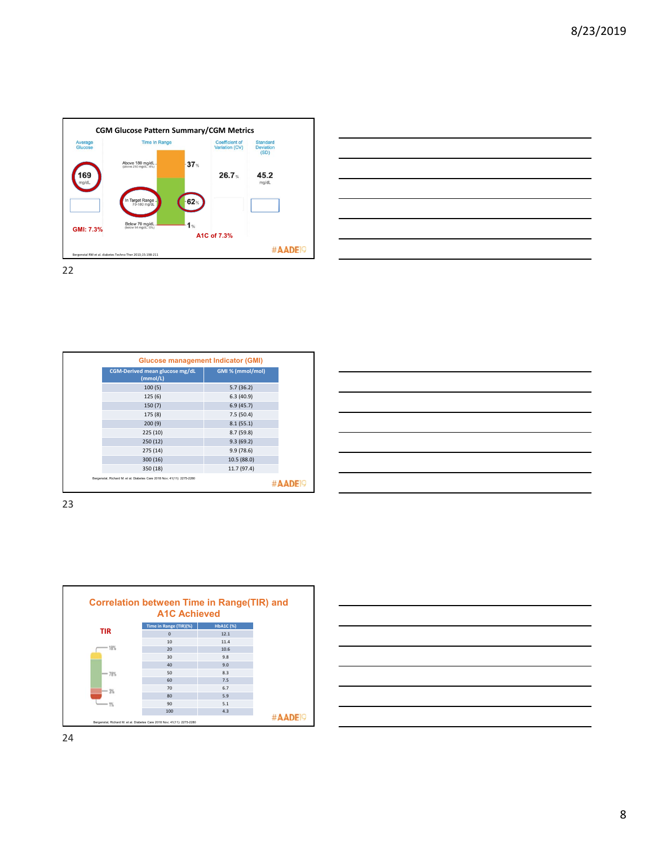



| <b>Glucose management Indicator (GMI)</b>                               |                  |
|-------------------------------------------------------------------------|------------------|
| CGM-Derived mean glucose mg/dL<br>(mmol/L)                              | GMI % (mmol/mol) |
| 100(5)                                                                  | 5.7(36.2)        |
| 125(6)                                                                  | 6.3(40.9)        |
| 150(7)                                                                  | 6.9(45.7)        |
| 175 (8)                                                                 | 7.5(50.4)        |
| 200(9)                                                                  | 8.1(55.1)        |
| 225(10)                                                                 | 8.7(59.8)        |
| 250(12)                                                                 | 9.3(69.2)        |
| 275(14)                                                                 | 9.9(78.6)        |
| 300(16)                                                                 | 10.5 (88.0)      |
| 350 (18)                                                                | 11.7 (97.4)      |
| Bergenstal, Richard M. et al. Diabetes Care 2018 Nov: 41(11): 2275-2280 |                  |

| <u> 1999 - Jan James James James James James James James James James James James James James James James James J</u>  |  | $\overline{\phantom{a}}$          |
|-----------------------------------------------------------------------------------------------------------------------|--|-----------------------------------|
| <u> Alexandro de la contrada de la contrada de la contrada de la contrada de la contrada de la contrada de la con</u> |  |                                   |
|                                                                                                                       |  |                                   |
| <u> 1988 - Andrea Santa Andrea Andrea Andrea Andrea Andrea Andrea Andrea Andrea Andrea Andrea Andrea Andrea Andr</u>  |  |                                   |
| <u> Alexandro de la contrada de la contrada de la contrada de la contrada de la contrada de la contrada de la con</u> |  | the control of the control of the |
| <u> Alexandro de la contrada de la contrada de la contrada de la contrada de la contrada de la contrada de la co</u>  |  |                                   |
|                                                                                                                       |  |                                   |
|                                                                                                                       |  |                                   |

23



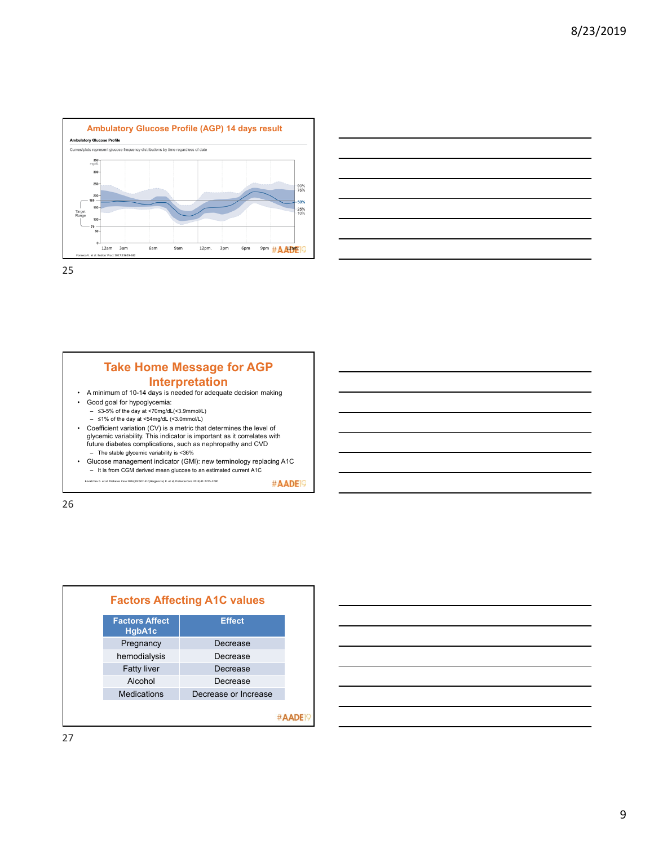



#### **Take Home Message for AGP Interpretation** • A minimum of 10-14 days is needed for adequate decision making • Good goal for hypoglycemia: – ≤3-5% of the day at <70mg/dL(<3.9mmol/L) – ≤1% of the day at <54mg/dL (<3.0mmol/L) • Coefficient variation (CV) is a metric that determines the level of glycemic variability. This indicator is important as it correlates with future diabetes complications, such as nephropathy and CVD – The stable glycemic variability is <36% • Glucose management indicator (GMI): new terminology replacing A1C – It is from CGM derived mean glucose to an estimated current A1C

.<br>K. Care 2016;39:502‐510;Bergenstal, R. et al, DiabetesCare 2018;41:2275‐2280



#AADE<sup>19</sup>

#AADE<sup>19</sup>

27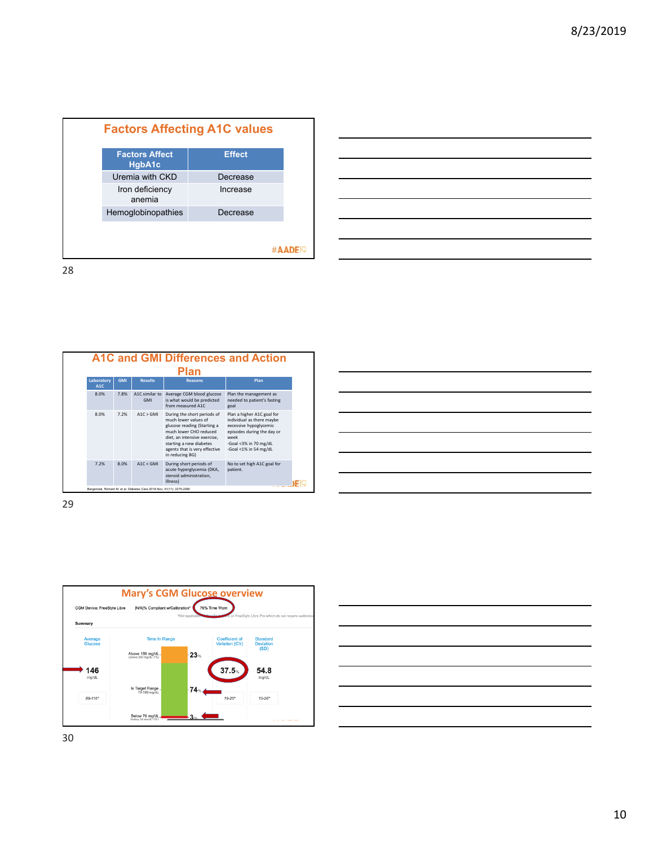| <b>Factors Affect</b><br>HgbA1c | <b>Effect</b> |  |
|---------------------------------|---------------|--|
| Uremia with CKD                 | Decrease      |  |
| Iron deficiency<br>anemia       | Increase      |  |
| Hemoglobinopathies              | Decrease      |  |
|                                 |               |  |
|                                 |               |  |

|  |  | $\overline{\phantom{a}}$ |
|--|--|--------------------------|
|  |  |                          |
|  |  |                          |





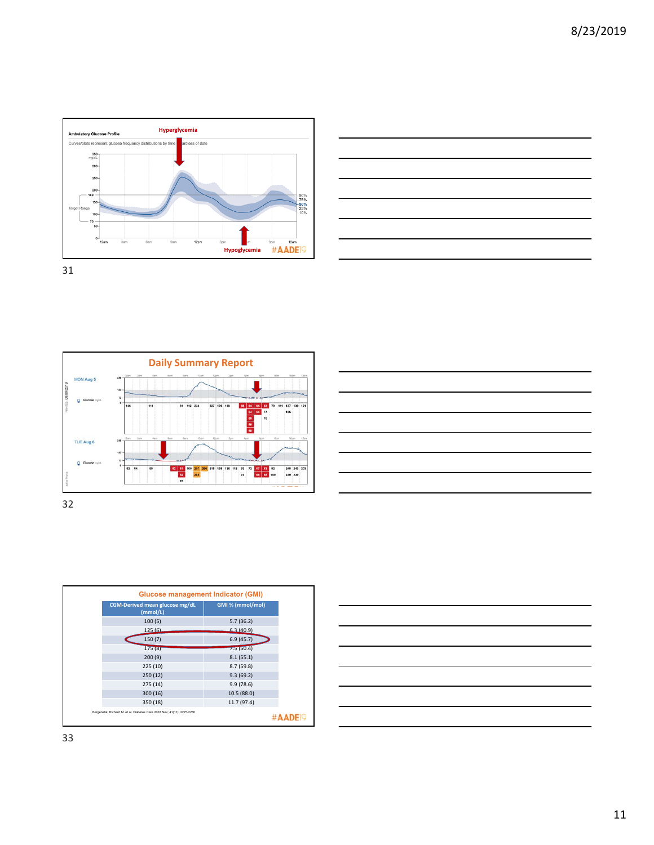







| <b>Glucose management Indicator (GMI)</b>                               |                  |
|-------------------------------------------------------------------------|------------------|
| CGM-Derived mean glucose mg/dL<br>(mmol/L)                              | GMI % (mmol/mol) |
| 100(5)                                                                  | 5.7(36.2)        |
| 125(6)                                                                  | 63(40.9)         |
| 150(7)                                                                  | 6.9(45.7)        |
| 175(8)                                                                  | 7.5(50.4)        |
| 200(9)                                                                  | 8.1(55.1)        |
| 225(10)                                                                 | 8.7(59.8)        |
| 250 (12)                                                                | 9.3(69.2)        |
| 275(14)                                                                 | 9.9(78.6)        |
| 300 (16)                                                                | 10.5 (88.0)      |
| 350 (18)                                                                | 11.7 (97.4)      |
| Bergenstal, Richard M. et al. Diabetes Care 2018 Nov; 41(11): 2275-2280 |                  |

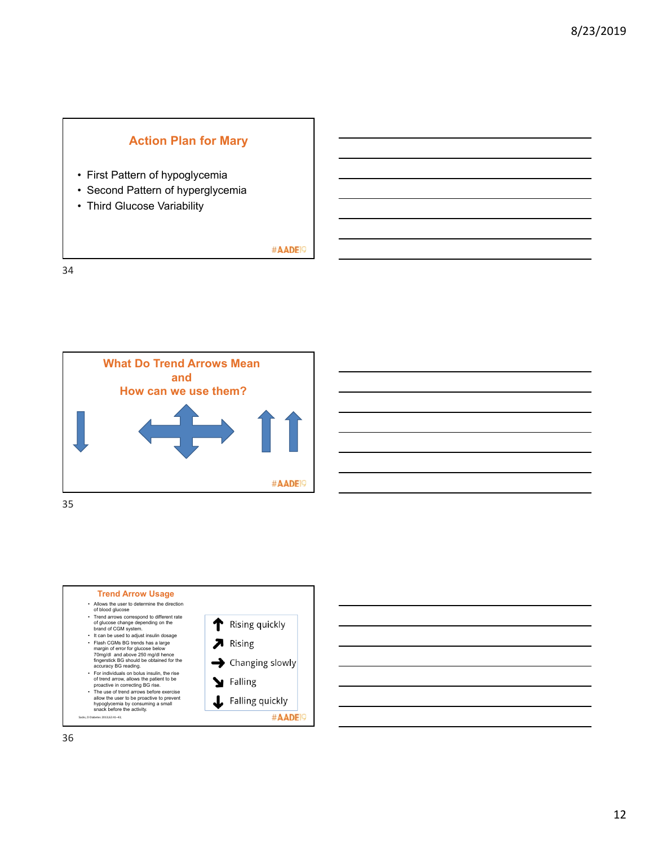# **Action Plan for Mary**

- First Pattern of hypoglycemia
- Second Pattern of hyperglycemia
- Third Glucose Variability

#AADE<sup>19</sup>





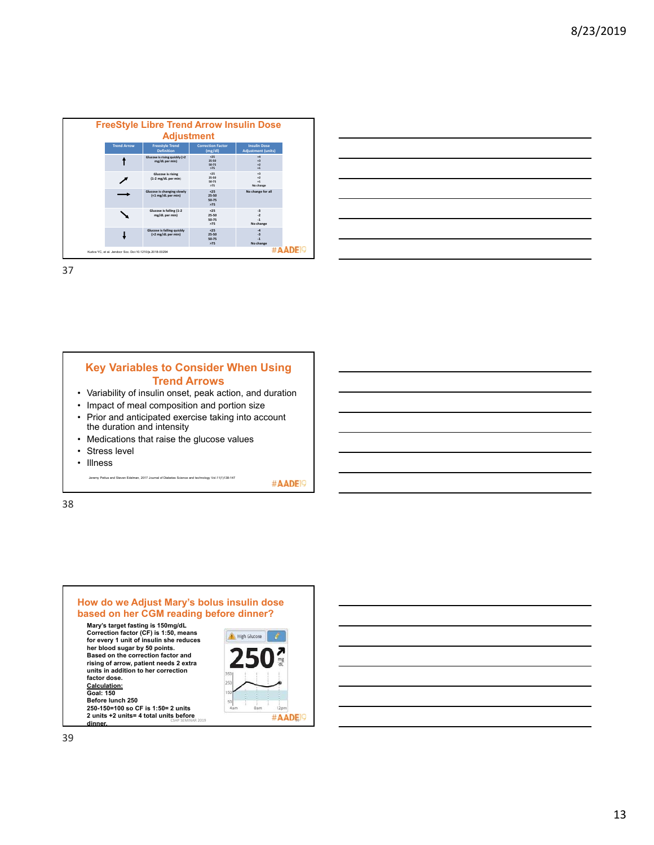| <b>Freestyle Trend</b>                           |                                     |                                                  |
|--------------------------------------------------|-------------------------------------|--------------------------------------------------|
| <b>Definition</b>                                | <b>Correction Factor</b><br>(mg/dl) | <b>Insulin Dose</b><br><b>Adjustment (units)</b> |
| Glucose is rising quickly (>2<br>mg/dL per min)  | 625<br>25.50<br>50-75<br>575        | $+4$<br>$+3$<br>$+2$<br>$+1$                     |
| Glucose is rising<br>(1-2 mg/dL per min)         | 625<br>25.50<br>50.75<br>275        | $+3$<br>$+2$<br>$+1$<br>No change                |
| Glucose is changing slowly<br>(<1 mg/dL per min) | 25<br>$25 - 50$<br>50-75<br>575     | No change for all                                |
| Glucose is falling (1-2<br>mg/dL per min)        | 25<br>25-50<br>50-75<br>>75         | $\overline{a}$<br>$-2$<br>$\cdot$ 1<br>No change |
| Glucose is falling quickly<br>(>2 mg/dL per min) | 25<br>$25 - 50$<br>50-75<br>575     | $-4$<br>$\overline{a}$<br>$\cdot$ 1<br>No change |
|                                                  |                                     |                                                  |

| the control of the control of the control of |  |  |       |
|----------------------------------------------|--|--|-------|
|                                              |  |  |       |
|                                              |  |  |       |
|                                              |  |  |       |
|                                              |  |  | _____ |
|                                              |  |  |       |

#### **Key Variables to Consider When Using Trend Arrows**  • Variability of insulin onset, peak action, and duration • Impact of meal composition and portion size

- Prior and anticipated exercise taking into account the duration and intensity
- Medications that raise the glucose values
- Stress level
- Illness

Jeremy Pettus and Steven Edelman, 2017 Journal of Diabetes Science and technology Vol.11(1)138-147

#AADE<sup>19</sup>

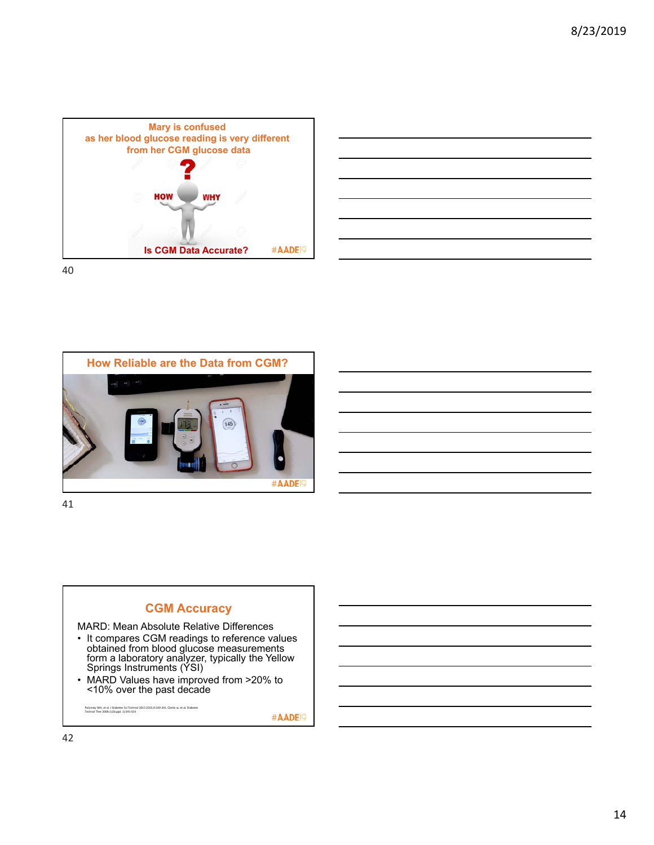



40





#### MARD: Mean Absolute Relative Differences

- It compares CGM readings to reference values obtained from blood glucose measurements form a laboratory analyzer, typically the Yellow Springs Instruments (YSI)
- MARD Values have improved from >20% to <10% over the past decade

Polonsky WH, et al. J Diabetes Sci Technol 2015 2015;9:330‐341. Clarke w. et al. Diabetes Technol Ther 2009;11(Suppl. 1):S45‐S54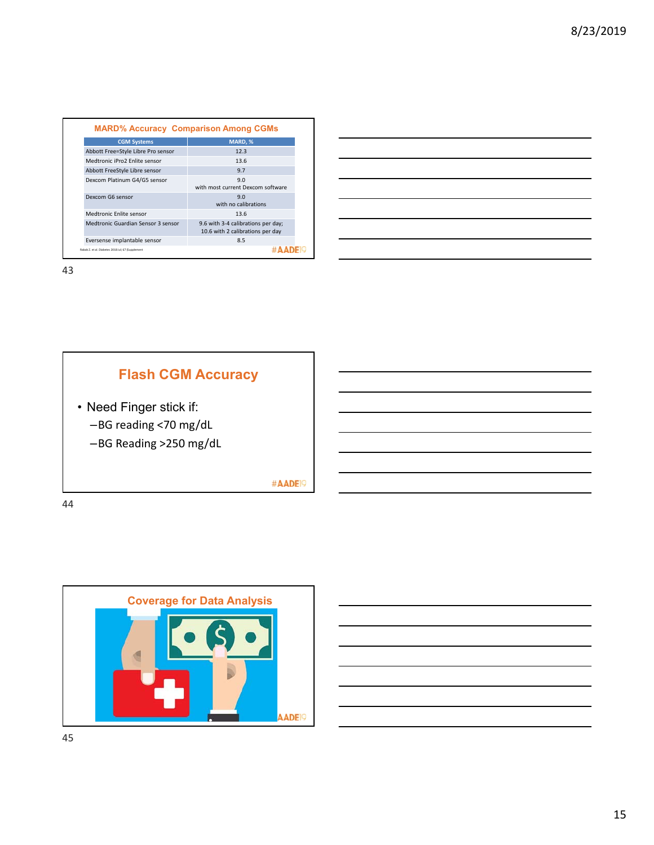| <b>MARD% Accuracy Comparison Among CGMs</b>       |                                                                        |
|---------------------------------------------------|------------------------------------------------------------------------|
| <b>CGM Systems</b>                                | MARD. %                                                                |
| Abbott Free=Style Libre Pro sensor                | 12.3                                                                   |
| Medtronic iPro2 Enlite sensor                     | 13.6                                                                   |
| Abbott FreeStyle Libre sensor                     | 9.7                                                                    |
| Dexcom Platinum G4/G5 sensor                      | 9.0<br>with most current Dexcom software                               |
| Dexcom G6 sensor                                  | 9.0<br>with no calibrations                                            |
| Medtronic Enlite sensor                           | 13.6                                                                   |
| Medtronic Guardian Sensor 3 sensor                | 9.6 with 3-4 calibrations per day;<br>10.6 with 2 calibrations per day |
| Eversense implantable sensor                      | 8.5                                                                    |
| Rabab Z, et al. Diabetes 2018 Jul: 67 (Supplement |                                                                        |

| a series and the series of the series of the series of the series of the series of the series of the series of        |  |  |  |
|-----------------------------------------------------------------------------------------------------------------------|--|--|--|
|                                                                                                                       |  |  |  |
| <u> 1989 - Johann Harry Harry Harry Harry Harry Harry Harry Harry Harry Harry Harry Harry Harry Harry Harry Harry</u> |  |  |  |
|                                                                                                                       |  |  |  |
| <u> 1989 - Johann Harry Harry Harry Harry Harry Harry Harry Harry Harry Harry Harry Harry Harry Harry Harry Harry</u> |  |  |  |
| <u> 1989 - Johann Harry Harry Harry Harry Harry Harry Harry Harry Harry Harry Harry Harry Harry Harry Harry Harry</u> |  |  |  |
|                                                                                                                       |  |  |  |



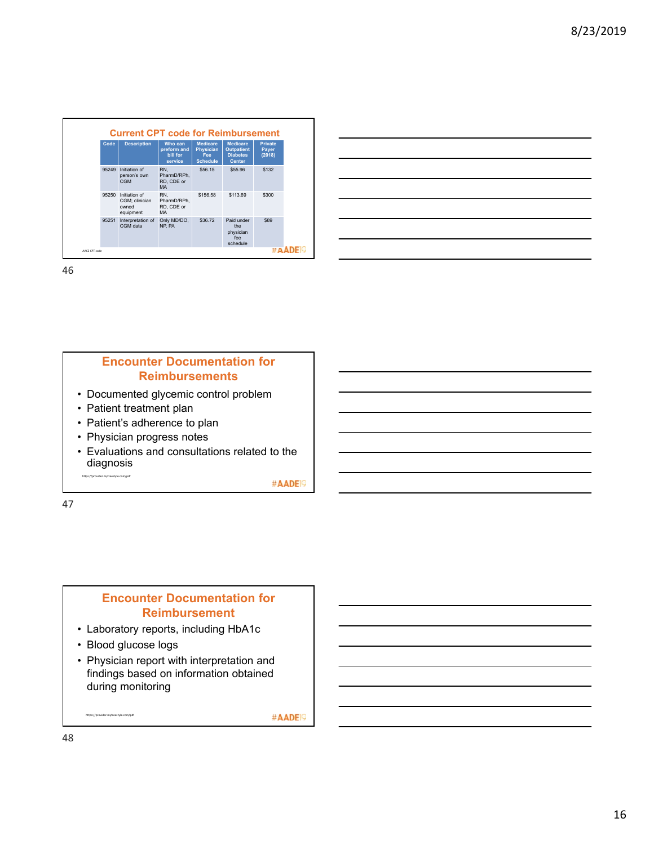| Code<br><b>Description</b>                                     | Who can<br>preform and<br>bill for<br>service | <b>Medicare</b><br><b>Physician</b><br>Fee<br><b>Schedule</b> | <b>Medicare</b><br><b>Outpatient</b><br><b>Diabetes</b><br><b>Center</b> | <b>Private</b><br>Payer<br>(2018) |
|----------------------------------------------------------------|-----------------------------------------------|---------------------------------------------------------------|--------------------------------------------------------------------------|-----------------------------------|
| 95249<br>Initiation of<br>person's own<br>CGM                  | RN.<br>PharmD/RPh,<br>RD. CDE or<br><b>MA</b> | \$56.15                                                       | \$55.96                                                                  | \$132                             |
| Initiation of<br>95250<br>CGM; clinician<br>owned<br>equipment | RN.<br>PharmD/RPh,<br>RD. CDE or<br><b>MA</b> | \$156.58                                                      | \$113.69                                                                 | \$300                             |
| 95251<br>Interpretation of<br>CGM data                         | Only MD/DO,<br>NP. PA                         | \$36.72                                                       | Paid under<br>the.<br>physician<br>fee<br>schedule                       | \$89                              |

### **Encounter Documentation for Reimbursements**

- Documented glycemic control problem
- Patient treatment plan
- Patient's adherence to plan
- Physician progress notes
- Evaluations and consultations related to the diagnosis https://provider.myfreestyle.com/pdf

#AADE<sup>19</sup>

47

### **Encounter Documentation for Reimbursement**

- Laboratory reports, including HbA1c
- Blood glucose logs

https://provider.myfreestyle.com/pdf

• Physician report with interpretation and findings based on information obtained during monitoring

#AADE<sup>19</sup>